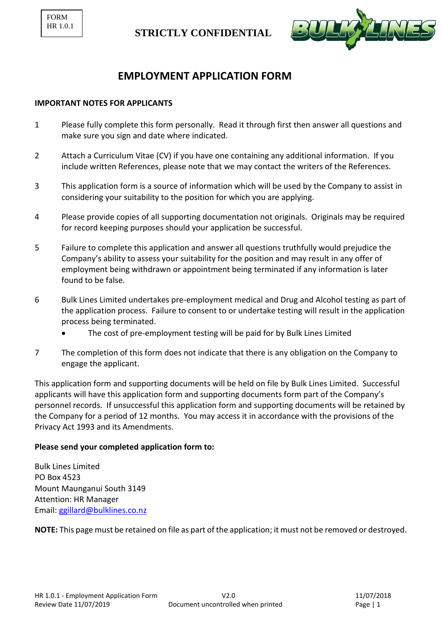```
FORM
HR 1.0.1
```


## **EMPLOYMENT APPLICATION FORM**

### **IMPORTANT NOTES FOR APPLICANTS**

- 1 Please fully complete this form personally. Read it through first then answer all questions and make sure you sign and date where indicated.
- 2 Attach a Curriculum Vitae (CV) if you have one containing any additional information. If you include written References, please note that we may contact the writers of the References.
- 3 This application form is a source of information which will be used by the Company to assist in considering your suitability to the position for which you are applying.
- 4 Please provide copies of all supporting documentation not originals. Originals may be required for record keeping purposes should your application be successful.
- 5 Failure to complete this application and answer all questions truthfully would prejudice the Company's ability to assess your suitability for the position and may result in any offer of employment being withdrawn or appointment being terminated if any information is later found to be false.
- 6 Bulk Lines Limited undertakes pre-employment medical and Drug and Alcohol testing as part of the application process. Failure to consent to or undertake testing will result in the application process being terminated.
	- The cost of pre-employment testing will be paid for by Bulk Lines Limited
- 7 The completion of this form does not indicate that there is any obligation on the Company to engage the applicant.

This application form and supporting documents will be held on file by Bulk Lines Limited. Successful applicants will have this application form and supporting documents form part of the Company's personnel records. If unsuccessful this application form and supporting documents will be retained by the Company for a period of 12 months. You may access it in accordance with the provisions of the Privacy Act 1993 and its Amendments.

### **Please send your completed application form to:**

Bulk Lines Limited PO Box 4523 Mount Maunganui South 3149 Attention: HR Manager Email: [ggillard@bulklines.co.nz](mailto:ggillard@bulklines.co.nz)

**NOTE:** This page must be retained on file as part of the application; it must not be removed or destroyed.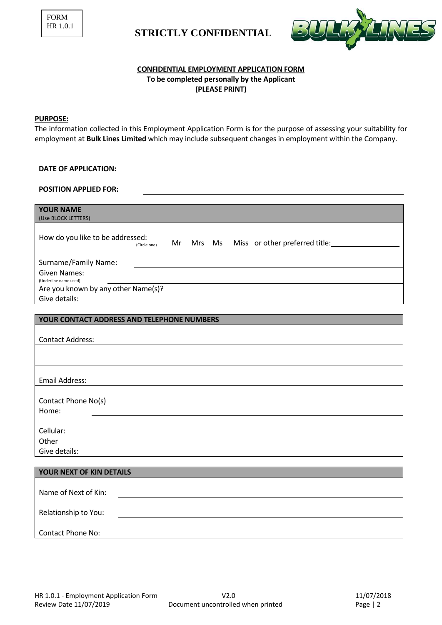

### **CONFIDENTIAL EMPLOYMENT APPLICATION FORM To be completed personally by the Applicant (PLEASE PRINT)**

### **PURPOSE:**

The information collected in this Employment Application Form is for the purpose of assessing your suitability for employment at **Bulk Lines Limited** which may include subsequent changes in employment within the Company.

| <b>DATE OF APPLICATION:</b>                                                                        |
|----------------------------------------------------------------------------------------------------|
| <b>POSITION APPLIED FOR:</b>                                                                       |
|                                                                                                    |
| <b>YOUR NAME</b><br>(Use BLOCK LETTERS)                                                            |
|                                                                                                    |
| How do you like to be addressed:<br>Miss or other preferred title:<br>Mrs Ms<br>Mr<br>(Circle one) |
| Surname/Family Name:                                                                               |
| <b>Given Names:</b><br>(Underline name used)                                                       |
| Are you known by any other Name(s)?<br>Give details:                                               |
|                                                                                                    |
| YOUR CONTACT ADDRESS AND TELEPHONE NUMBERS                                                         |
| <b>Contact Address:</b>                                                                            |
|                                                                                                    |
|                                                                                                    |
| <b>Email Address:</b>                                                                              |
| Contact Phone No(s)                                                                                |
| Home:                                                                                              |
|                                                                                                    |
| Cellular:<br>Other                                                                                 |
| Give details:                                                                                      |
|                                                                                                    |
| YOUR NEXT OF KIN DETAILS                                                                           |
| Name of Next of Kin:                                                                               |
| Relationship to You:                                                                               |
| <b>Contact Phone No:</b>                                                                           |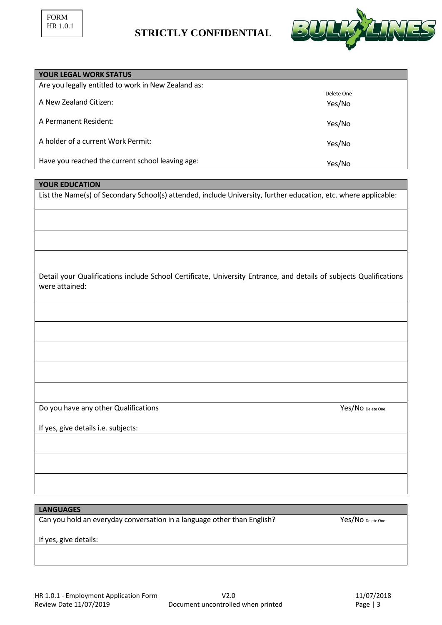

| <b>YOUR LEGAL WORK STATUS</b>                       |            |
|-----------------------------------------------------|------------|
| Are you legally entitled to work in New Zealand as: |            |
|                                                     | Delete One |
| A New Zealand Citizen:                              | Yes/No     |
| A Permanent Resident:                               | Yes/No     |
| A holder of a current Work Permit:                  | Yes/No     |
| Have you reached the current school leaving age:    | Yes/No     |

### **YOUR EDUCATION**

List the Name(s) of Secondary School(s) attended, include University, further education, etc. where applicable:

Detail your Qualifications include School Certificate, University Entrance, and details of subjects Qualifications were attained:

Do you have any other Qualifications **Yes/No** Delete One

If yes, give details i.e. subjects:

**LANGUAGES**

Can you hold an everyday conversation in a language other than English? Yes/No Delete One

If yes, give details: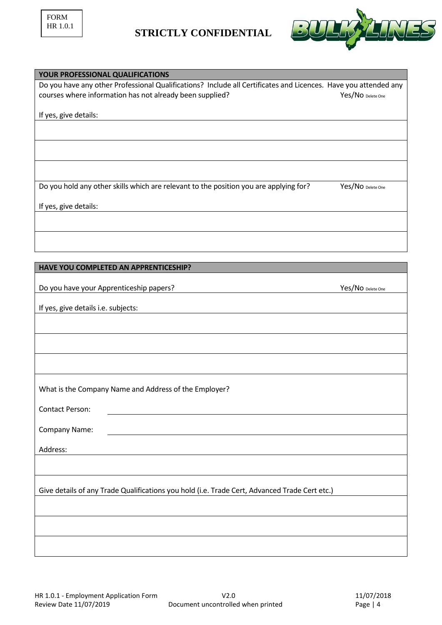

| YOUR PROFESSIONAL QUALIFICATIONS                                                                                |
|-----------------------------------------------------------------------------------------------------------------|
| Do you have any other Professional Qualifications? Include all Certificates and Licences. Have you attended any |
| courses where information has not already been supplied?<br>Yes/No Delete One                                   |
|                                                                                                                 |
| If yes, give details:                                                                                           |
|                                                                                                                 |
|                                                                                                                 |
|                                                                                                                 |
|                                                                                                                 |
|                                                                                                                 |
| Do you hold any other skills which are relevant to the position you are applying for?<br>Yes/No Delete One      |
|                                                                                                                 |
| If yes, give details:                                                                                           |
|                                                                                                                 |
|                                                                                                                 |
|                                                                                                                 |
|                                                                                                                 |
|                                                                                                                 |
| HAVE YOU COMPLETED AN APPRENTICESHIP?                                                                           |
|                                                                                                                 |
| Do you have your Apprenticeship papers?<br>Yes/No Delete One                                                    |
| If yes, give details i.e. subjects:                                                                             |
|                                                                                                                 |
|                                                                                                                 |
|                                                                                                                 |
|                                                                                                                 |
|                                                                                                                 |
|                                                                                                                 |
|                                                                                                                 |
| What is the Company Name and Address of the Employer?                                                           |
|                                                                                                                 |
| <b>Contact Person:</b>                                                                                          |
| Company Name:                                                                                                   |
|                                                                                                                 |
| Address:                                                                                                        |
|                                                                                                                 |
|                                                                                                                 |
|                                                                                                                 |
| Give details of any Trade Qualifications you hold (i.e. Trade Cert, Advanced Trade Cert etc.)                   |
|                                                                                                                 |
|                                                                                                                 |
|                                                                                                                 |
|                                                                                                                 |
|                                                                                                                 |
|                                                                                                                 |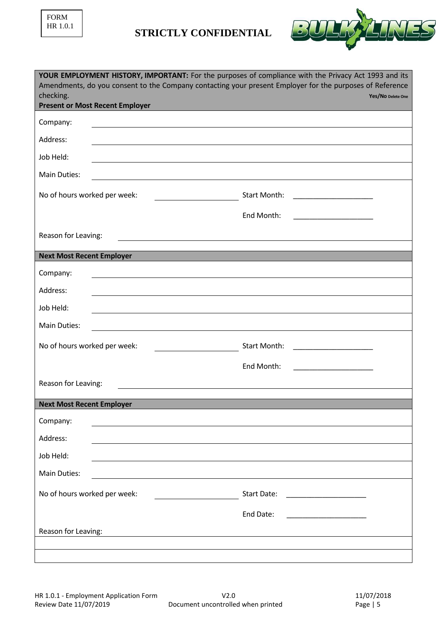| <b>FORM</b> |          |  |  |  |  |  |
|-------------|----------|--|--|--|--|--|
|             | HR 1.0.1 |  |  |  |  |  |



| YOUR EMPLOYMENT HISTORY, IMPORTANT: For the purposes of compliance with the Privacy Act 1993 and its<br>Amendments, do you consent to the Company contacting your present Employer for the purposes of Reference<br>checking.<br><b>Present or Most Recent Employer</b> | Yes/No Delete One                                                  |
|-------------------------------------------------------------------------------------------------------------------------------------------------------------------------------------------------------------------------------------------------------------------------|--------------------------------------------------------------------|
| Company:<br><u> 1989 - Johann Barbara, martxa alemaniar amerikan a</u>                                                                                                                                                                                                  |                                                                    |
| Address:                                                                                                                                                                                                                                                                |                                                                    |
| Job Held:                                                                                                                                                                                                                                                               |                                                                    |
| Main Duties:                                                                                                                                                                                                                                                            |                                                                    |
| No of hours worked per week:                                                                                                                                                                                                                                            | Start Month:<br><u> 1989 - Johann Barbara, martin a</u>            |
|                                                                                                                                                                                                                                                                         | End Month:<br><u> 1989 - Andrea State Barbara, amerikan per</u>    |
| Reason for Leaving:                                                                                                                                                                                                                                                     |                                                                    |
|                                                                                                                                                                                                                                                                         |                                                                    |
| <b>Next Most Recent Employer</b>                                                                                                                                                                                                                                        |                                                                    |
| Company:<br><u> 1989 - John Stein, marking and de families and de families and de families and design and design and design a</u>                                                                                                                                       |                                                                    |
| Address:                                                                                                                                                                                                                                                                |                                                                    |
| Job Held:                                                                                                                                                                                                                                                               |                                                                    |
| Main Duties:                                                                                                                                                                                                                                                            |                                                                    |
| No of hours worked per week:                                                                                                                                                                                                                                            | Start Month:<br><u> 1980 - Andrea Andrew Maria III, martin a f</u> |
|                                                                                                                                                                                                                                                                         | End Month:<br>the control of the control of the control of         |
| Reason for Leaving:                                                                                                                                                                                                                                                     |                                                                    |
| <b>Next Most Recent Employer</b>                                                                                                                                                                                                                                        |                                                                    |
| Company:                                                                                                                                                                                                                                                                |                                                                    |
| Address:                                                                                                                                                                                                                                                                |                                                                    |
| Job Held:                                                                                                                                                                                                                                                               |                                                                    |
| Main Duties:                                                                                                                                                                                                                                                            |                                                                    |
| No of hours worked per week:                                                                                                                                                                                                                                            | Start Date:                                                        |
|                                                                                                                                                                                                                                                                         | End Date:                                                          |
| Reason for Leaving:                                                                                                                                                                                                                                                     |                                                                    |
|                                                                                                                                                                                                                                                                         |                                                                    |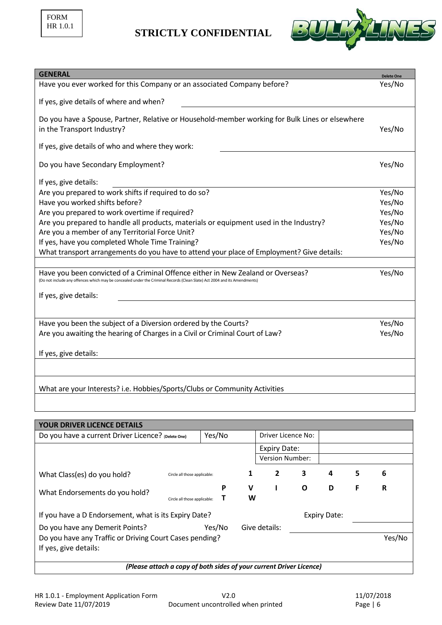

| <b>GENERAL</b>                                                                                                                                                                                                | <b>Delete One</b> |
|---------------------------------------------------------------------------------------------------------------------------------------------------------------------------------------------------------------|-------------------|
| Have you ever worked for this Company or an associated Company before?                                                                                                                                        | Yes/No            |
|                                                                                                                                                                                                               |                   |
| If yes, give details of where and when?                                                                                                                                                                       |                   |
| Do you have a Spouse, Partner, Relative or Household-member working for Bulk Lines or elsewhere                                                                                                               |                   |
| in the Transport Industry?                                                                                                                                                                                    | Yes/No            |
|                                                                                                                                                                                                               |                   |
| If yes, give details of who and where they work:                                                                                                                                                              |                   |
| Do you have Secondary Employment?                                                                                                                                                                             | Yes/No            |
|                                                                                                                                                                                                               |                   |
| If yes, give details:                                                                                                                                                                                         |                   |
| Are you prepared to work shifts if required to do so?                                                                                                                                                         | Yes/No            |
| Have you worked shifts before?                                                                                                                                                                                | Yes/No            |
| Are you prepared to work overtime if required?                                                                                                                                                                | Yes/No            |
| Are you prepared to handle all products, materials or equipment used in the Industry?                                                                                                                         | Yes/No            |
| Are you a member of any Territorial Force Unit?                                                                                                                                                               | Yes/No            |
| If yes, have you completed Whole Time Training?                                                                                                                                                               | Yes/No            |
| What transport arrangements do you have to attend your place of Employment? Give details:                                                                                                                     |                   |
|                                                                                                                                                                                                               |                   |
| Have you been convicted of a Criminal Offence either in New Zealand or Overseas?<br>(Do not include any offences which may be concealed under the Criminal Records (Clean Slate) Act 2004 and its Amendments) | Yes/No            |
|                                                                                                                                                                                                               |                   |
| If yes, give details:                                                                                                                                                                                         |                   |
|                                                                                                                                                                                                               |                   |
| Have you been the subject of a Diversion ordered by the Courts?                                                                                                                                               | Yes/No            |
| Are you awaiting the hearing of Charges in a Civil or Criminal Court of Law?                                                                                                                                  | Yes/No            |
|                                                                                                                                                                                                               |                   |
| If yes, give details:                                                                                                                                                                                         |                   |
|                                                                                                                                                                                                               |                   |
|                                                                                                                                                                                                               |                   |
|                                                                                                                                                                                                               |                   |
| What are your Interests? i.e. Hobbies/Sports/Clubs or Community Activities                                                                                                                                    |                   |

| <b>YOUR DRIVER LICENCE DETAILS</b>                                  |                              |   |                    |                        |                     |   |        |   |
|---------------------------------------------------------------------|------------------------------|---|--------------------|------------------------|---------------------|---|--------|---|
| Yes/No<br>Do you have a current Driver Licence? (Delete One)        |                              |   | Driver Licence No: |                        |                     |   |        |   |
|                                                                     |                              |   |                    | <b>Expiry Date:</b>    |                     |   |        |   |
|                                                                     |                              |   |                    | <b>Version Number:</b> |                     |   |        |   |
| What Class(es) do you hold?                                         | Circle all those applicable: |   | 1                  |                        | 3                   | 4 | 5      | 6 |
| What Endorsements do you hold?                                      |                              | P | v                  |                        | O                   | D | F      | R |
|                                                                     | Circle all those applicable: |   | W                  |                        |                     |   |        |   |
| If you have a D Endorsement, what is its Expiry Date?               |                              |   |                    |                        | <b>Expiry Date:</b> |   |        |   |
| Yes/No<br>Do you have any Demerit Points?                           |                              |   |                    | Give details:          |                     |   |        |   |
| Do you have any Traffic or Driving Court Cases pending?             |                              |   |                    |                        |                     |   | Yes/No |   |
| If yes, give details:                                               |                              |   |                    |                        |                     |   |        |   |
| (Please attach a copy of both sides of your current Driver Licence) |                              |   |                    |                        |                     |   |        |   |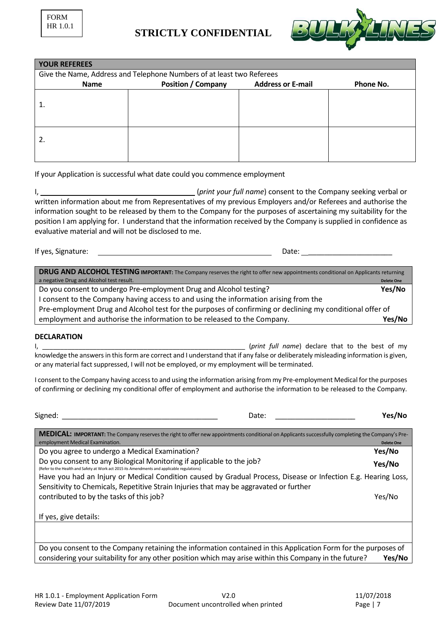

| <b>YOUR REFEREES</b>                                                  |                                                                    |  |  |  |  |  |
|-----------------------------------------------------------------------|--------------------------------------------------------------------|--|--|--|--|--|
| Give the Name, Address and Telephone Numbers of at least two Referees |                                                                    |  |  |  |  |  |
| <b>Name</b>                                                           | <b>Position / Company</b><br><b>Address or E-mail</b><br>Phone No. |  |  |  |  |  |
|                                                                       |                                                                    |  |  |  |  |  |
|                                                                       |                                                                    |  |  |  |  |  |
|                                                                       |                                                                    |  |  |  |  |  |
|                                                                       |                                                                    |  |  |  |  |  |
| 2.                                                                    |                                                                    |  |  |  |  |  |
|                                                                       |                                                                    |  |  |  |  |  |
|                                                                       |                                                                    |  |  |  |  |  |

If your Application is successful what date could you commence employment

I, (*print your full name*) consent to the Company seeking verbal or written information about me from Representatives of my previous Employers and/or Referees and authorise the information sought to be released by them to the Company for the purposes of ascertaining my suitability for the position I am applying for. I understand that the information received by the Company is supplied in confidence as evaluative material and will not be disclosed to me.

If yes, Signature: Date: Date: Date: Date: Date: Date: Date: Date: Date: Date: Date: Date: Date: Date: Date: Date: Date: Date: Date: Date: Date: Date: Date: Date: Date: Date: Date: Date: Date: Date: Date: Date: Date: Date:

**DRUG AND ALCOHOL TESTING IMPORTANT:** The Company reserves the right to offer new appointments conditional on Applicants returning a negative Drug and Alcohol test result. **Delete One** Do you consent to undergo Pre-employment Drug and Alcohol testing? **Yes/No** I consent to the Company having access to and using the information arising from the Pre-employment Drug and Alcohol test for the purposes of confirming or declining my conditional offer of employment and authorise the information to be released to the Company. **Yes/No**

### **DECLARATION**

I, \_\_\_\_\_\_\_\_\_\_\_\_\_\_\_\_\_\_\_\_\_\_\_\_\_\_\_\_\_\_\_\_\_\_\_\_\_\_\_\_\_\_\_\_\_\_\_\_\_\_\_\_\_\_\_\_ (*print full name*) declare that to the best of my knowledge the answers in this form are correct and I understand that if any false or deliberately misleading information is given, or any material fact suppressed, I will not be employed, or my employment will be terminated.

I consent to the Company having access to and using the information arising from my Pre-employment Medical for the purposes of confirming or declining my conditional offer of employment and authorise the information to be released to the Company.

| Signed:                                                                                                                                                                                                  | Date: | Yes/No            |
|----------------------------------------------------------------------------------------------------------------------------------------------------------------------------------------------------------|-------|-------------------|
| MEDICAL: IMPORTANT: The Company reserves the right to offer new appointments conditional on Applicants successfully completing the Company's Pre-<br>employment Medical Examination.                     |       | <b>Delete One</b> |
| Do you agree to undergo a Medical Examination?                                                                                                                                                           |       | Yes/No            |
| Do you consent to any Biological Monitoring if applicable to the job?<br>(Refer to the Health and Safety at Work act 2015 its Amendments and applicable regulations)                                     |       | Yes/No            |
| Have you had an Injury or Medical Condition caused by Gradual Process, Disease or Infection E.g. Hearing Loss,<br>Sensitivity to Chemicals, Repetitive Strain Injuries that may be aggravated or further |       |                   |
| contributed to by the tasks of this job?                                                                                                                                                                 |       | Yes/No            |
| If yes, give details:                                                                                                                                                                                    |       |                   |
|                                                                                                                                                                                                          |       |                   |
| Do you consent to the Company retaining the information contained in this Application Form for the purposes of                                                                                           |       |                   |

Do you consent to the Company retaining the information contained in this Application Form for the purposes of considering your suitability for any other position which may arise within this Company in the future? **Yes/No**